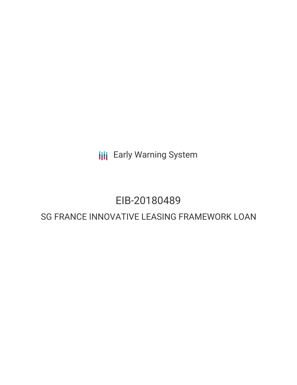**III** Early Warning System

## EIB-20180489

## SG FRANCE INNOVATIVE LEASING FRAMEWORK LOAN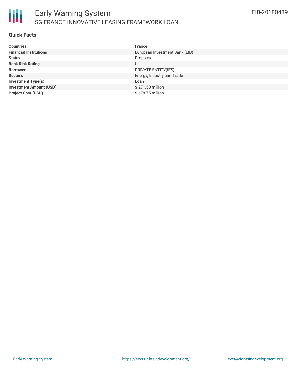

#### **Quick Facts**

| <b>Countries</b>               | France                         |
|--------------------------------|--------------------------------|
| <b>Financial Institutions</b>  | European Investment Bank (EIB) |
| <b>Status</b>                  | Proposed                       |
| <b>Bank Risk Rating</b>        | U                              |
| <b>Borrower</b>                | PRIVATE ENTITY(IES)            |
| <b>Sectors</b>                 | Energy, Industry and Trade     |
| <b>Investment Type(s)</b>      | Loan                           |
| <b>Investment Amount (USD)</b> | \$271.50 million               |
| <b>Project Cost (USD)</b>      | \$678.75 million               |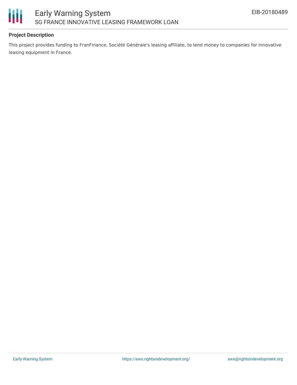

#### **Project Description**

This project provides funding to FranFinance, Société Générale's leasing affiliate, to lend money to companies for innovative leasing equipment in France.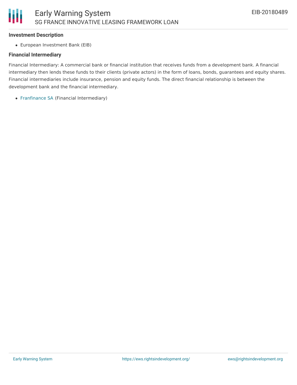#### **Investment Description**

European Investment Bank (EIB)

#### **Financial Intermediary**

Financial Intermediary: A commercial bank or financial institution that receives funds from a development bank. A financial intermediary then lends these funds to their clients (private actors) in the form of loans, bonds, guarantees and equity shares. Financial intermediaries include insurance, pension and equity funds. The direct financial relationship is between the development bank and the financial intermediary.

[Franfinance](file:///actor/1661/) SA (Financial Intermediary)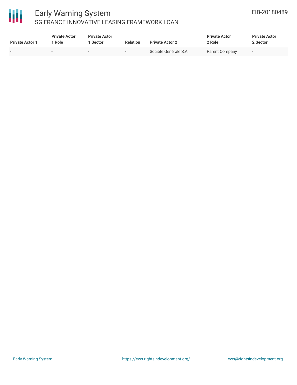# 冊

### Early Warning System SG FRANCE INNOVATIVE LEASING FRAMEWORK LOAN

| <b>Private Actor 1</b>   | <b>Private Actor</b><br>Role | <b>Private Actor</b><br>Sector | <b>Relation</b> | <b>Private Actor 2</b> | <b>Private Actor</b><br>2 Role | <b>Private Actor</b><br>2 Sector |  |
|--------------------------|------------------------------|--------------------------------|-----------------|------------------------|--------------------------------|----------------------------------|--|
| $\overline{\phantom{a}}$ | $\overline{\phantom{0}}$     | $\overline{\phantom{0}}$       | -               | Société Générale S.A.  | Parent Company                 | $\overline{\phantom{0}}$         |  |